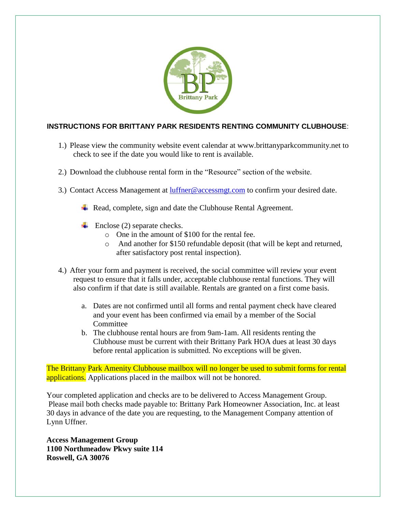

### **INSTRUCTIONS FOR BRITTANY PARK RESIDENTS RENTING COMMUNITY CLUBHOUSE**:

- 1.) Please view the community website event calendar at www.brittanyparkcommunity.net to check to see if the date you would like to rent is available.
- 2.) Download the clubhouse rental form in the "Resource" section of the website.
- 3.) Contact Access Management at [luffner@accessmgt.com](mailto:luffner@accessmgt.com) to confirm your desired date.
	- $\overline{\phantom{a}}$  Read, complete, sign and date the Clubhouse Rental Agreement.
	- $\leftarrow$  Enclose (2) separate checks.
		- o One in the amount of \$100 for the rental fee.
		- o And another for \$150 refundable deposit (that will be kept and returned, after satisfactory post rental inspection).
- 4.) After your form and payment is received, the social committee will review your event request to ensure that it falls under, acceptable clubhouse rental functions. They will also confirm if that date is still available. Rentals are granted on a first come basis.
	- a. Dates are not confirmed until all forms and rental payment check have cleared and your event has been confirmed via email by a member of the Social Committee
	- b. The clubhouse rental hours are from 9am-1am. All residents renting the Clubhouse must be current with their Brittany Park HOA dues at least 30 days before rental application is submitted. No exceptions will be given.

The Brittany Park Amenity Clubhouse mailbox will no longer be used to submit forms for rental applications. Applications placed in the mailbox will not be honored.

Your completed application and checks are to be delivered to Access Management Group. Please mail both checks made payable to: Brittany Park Homeowner Association, Inc. at least 30 days in advance of the date you are requesting, to the Management Company attention of Lynn Uffner.

**Access Management Group 1100 Northmeadow Pkwy suite 114 Roswell, GA 30076**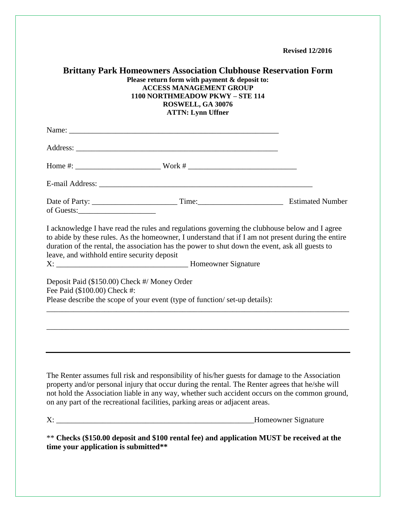**Revised 12/2016**

|                                      | <b>Brittany Park Homeowners Association Clubhouse Reservation Form</b><br>Please return form with payment & deposit to:<br><b>ACCESS MANAGEMENT GROUP</b><br>1100 NORTHMEADOW PKWY - STE 114<br>ROSWELL, GA 30076<br><b>ATTN: Lynn Uffner</b>                                                                                                                                         |                      |
|--------------------------------------|---------------------------------------------------------------------------------------------------------------------------------------------------------------------------------------------------------------------------------------------------------------------------------------------------------------------------------------------------------------------------------------|----------------------|
|                                      |                                                                                                                                                                                                                                                                                                                                                                                       |                      |
|                                      |                                                                                                                                                                                                                                                                                                                                                                                       |                      |
|                                      |                                                                                                                                                                                                                                                                                                                                                                                       |                      |
|                                      |                                                                                                                                                                                                                                                                                                                                                                                       |                      |
|                                      |                                                                                                                                                                                                                                                                                                                                                                                       |                      |
|                                      | I acknowledge I have read the rules and regulations governing the clubhouse below and I agree<br>to abide by these rules. As the homeowner, I understand that if I am not present during the entire<br>duration of the rental, the association has the power to shut down the event, ask all guests to<br>leave, and withhold entire security deposit                                 |                      |
| Fee Paid (\$100.00) Check #:         | Deposit Paid (\$150.00) Check #/ Money Order<br>Please describe the scope of your event (type of function/set-up details):                                                                                                                                                                                                                                                            |                      |
|                                      |                                                                                                                                                                                                                                                                                                                                                                                       |                      |
|                                      |                                                                                                                                                                                                                                                                                                                                                                                       |                      |
|                                      | The Renter assumes full risk and responsibility of his/her guests for damage to the Association<br>property and/or personal injury that occur during the rental. The Renter agrees that he/she will<br>not hold the Association liable in any way, whether such accident occurs on the common ground,<br>on any part of the recreational facilities, parking areas or adjacent areas. |                      |
|                                      |                                                                                                                                                                                                                                                                                                                                                                                       | _Homeowner Signature |
| time your application is submitted** | ** Checks (\$150.00 deposit and \$100 rental fee) and application MUST be received at the                                                                                                                                                                                                                                                                                             |                      |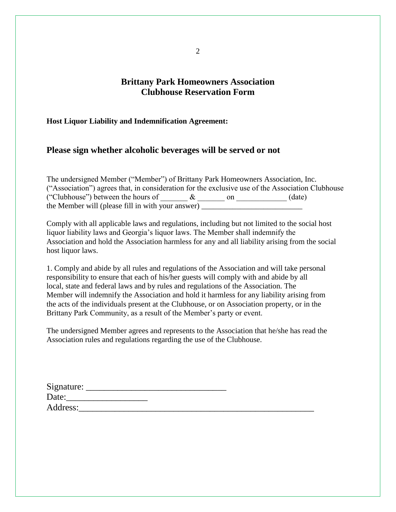# **Brittany Park Homeowners Association Clubhouse Reservation Form**

#### **Host Liquor Liability and Indemnification Agreement:**

#### **Please sign whether alcoholic beverages will be served or not**

The undersigned Member ("Member") of Brittany Park Homeowners Association, Inc. ("Association") agrees that, in consideration for the exclusive use of the Association Clubhouse ("Clubhouse") between the hours of  $\&$  on  $\&$  (date) the Member will (please fill in with your answer)

Comply with all applicable laws and regulations, including but not limited to the social host liquor liability laws and Georgia's liquor laws. The Member shall indemnify the Association and hold the Association harmless for any and all liability arising from the social host liquor laws.

1. Comply and abide by all rules and regulations of the Association and will take personal responsibility to ensure that each of his/her guests will comply with and abide by all local, state and federal laws and by rules and regulations of the Association. The Member will indemnify the Association and hold it harmless for any liability arising from the acts of the individuals present at the Clubhouse, or on Association property, or in the Brittany Park Community, as a result of the Member's party or event.

The undersigned Member agrees and represents to the Association that he/she has read the Association rules and regulations regarding the use of the Clubhouse.

| Signature: |  |  |
|------------|--|--|
| Date:      |  |  |
| Address:   |  |  |

2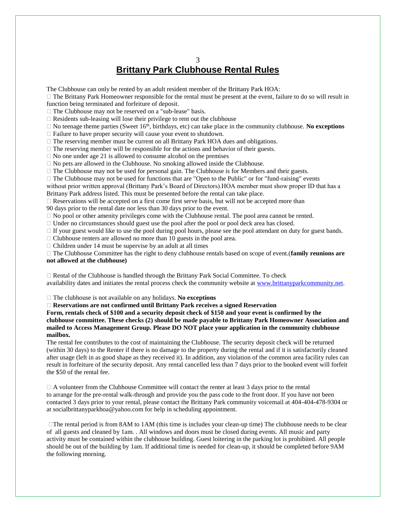#### 3 **Brittany Park Clubhouse Rental Rules**

The Clubhouse can only be rented by an adult resident member of the Brittany Park HOA:

 $\Box$  The Brittany Park Homeowner responsible for the rental must be present at the event, failure to do so will result in function being terminated and forfeiture of deposit.

□ The Clubhouse may not be reserved on a "sub-lease" basis.

 $\Box$  Residents sub-leasing will lose their privilege to rent out the clubhouse

 $\Box$  No teenage theme parties (Sweet 16<sup>th</sup>, birthdays, etc) can take place in the community clubhouse. **No exceptions** 

 $\Box$  Failure to have proper security will cause your event to shutdown.

 $\Box$  The reserving member must be current on all Brittany Park HOA dues and obligations.

 $\Box$  The reserving member will be responsible for the actions and behavior of their guests.

 $\Box$  No one under age 21 is allowed to consume alcohol on the premises

 $\Box$  No pets are allowed in the Clubhouse. No smoking allowed inside the Clubhouse.

 $\Box$  The Clubhouse may not be used for personal gain. The Clubhouse is for Members and their guests.

 $\Box$  The Clubhouse may not be used for functions that are "Open to the Public" or for "fund-raising" events without prior written approval (Brittany Park's Board of Directors).HOA member must show proper ID that has a

Brittany Park address listed. This must be presented before the rental can take place.

 $\Box$  Reservations will be accepted on a first come first serve basis, but will not be accepted more than

90 days prior to the rental date nor less than 30 days prior to the event.

 $\Box$  No pool or other amenity privileges come with the Clubhouse rental. The pool area cannot be rented.

 $\Box$  Under no circumstances should guest use the pool after the pool or pool deck area has closed.

 $\Box$  If your guest would like to use the pool during pool hours, please see the pool attendant on duty for guest bands.

 $\Box$  Clubhouse renters are allowed no more than 10 guests in the pool area.

 $\Box$  Children under 14 must be supervise by an adult at all times

 The Clubhouse Committee has the right to deny clubhouse rentals based on scope of event.(**family reunions are not allowed at the clubhouse)**

 $\Box$  Rental of the Clubhouse is handled through the Brittany Park Social Committee. To check availability dates and initiates the rental process check the community website at [www.brittanyparkcommunity.net.](http://www.brittanyparkcommunity.net/)

The clubhouse is not available on any holidays. **No exceptions**

**Reservations are not confirmed until Brittany Park receives a signed Reservation**

**Form, rentals check of \$100 and a security deposit check of \$150 and your event is confirmed by the clubhouse committee. These checks (2) should be made payable to Brittany Park Homeowner Association and mailed to Access Management Group. Please DO NOT place your application in the community clubhouse mailbox.** 

The rental fee contributes to the cost of maintaining the Clubhouse. The security deposit check will be returned (within 30 days) to the Renter if there is no damage to the property during the rental and if it is satisfactorily cleaned after usage (left in as good shape as they received it). In addition, any violation of the common area facility rules can result in forfeiture of the security deposit. Any rental cancelled less than 7 days prior to the booked event will forfeit the \$50 of the rental fee.

 $\Box$  A volunteer from the Clubhouse Committee will contact the renter at least 3 days prior to the rental to arrange for the pre-rental walk-through and provide you the pass code to the front door. If you have not been contacted 3 days prior to your rental, please contact the Brittany Park community voicemail at 404-404-478-9304 or at socialbrittanyparkhoa@yahoo.com for help in scheduling appointment.

 $\Box$ The rental period is from 8AM to 1AM (this time is includes your clean-up time) The clubhouse needs to be clear of all guests and cleaned by 1am. . All windows and doors must be closed during events. All music and party activity must be contained within the clubhouse building. Guest loitering in the parking lot is prohibited. All people should be out of the building by 1am. If additional time is needed for clean-up, it should be completed before 9AM the following morning.